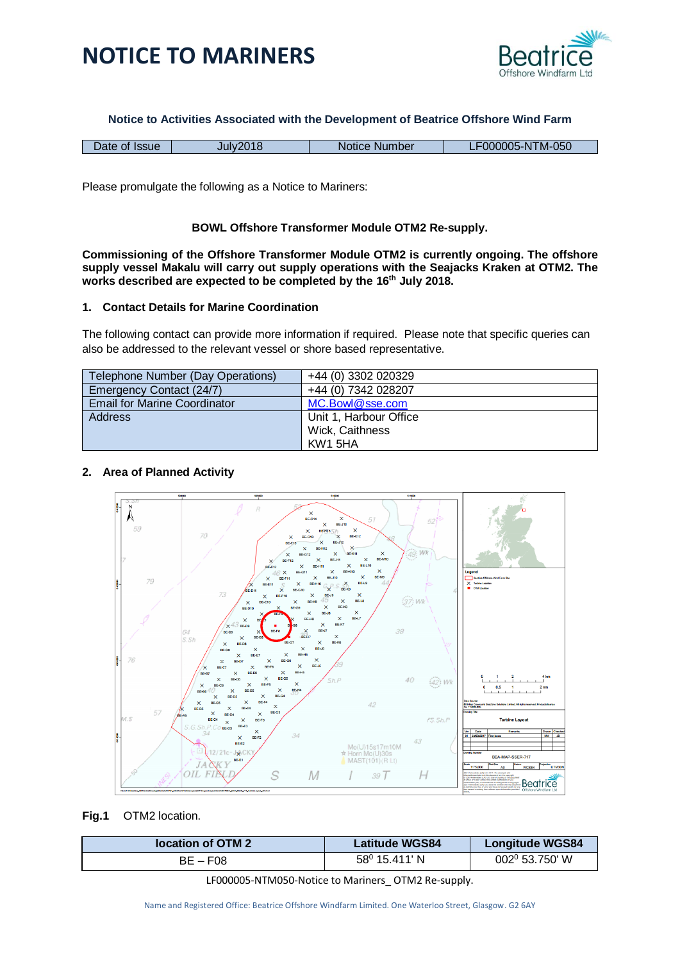



**Notice to Activities Associated with the Development of Beatrice Offshore Wind Farm**

| <b>Issue</b> | $-2018$ | <b>Number</b> | TM-050   |
|--------------|---------|---------------|----------|
| Date of      | li ilv  | <b>Notice</b> | 000005-N |

Please promulgate the following as a Notice to Mariners:

### **BOWL Offshore Transformer Module OTM2 Re-supply.**

**Commissioning of the Offshore Transformer Module OTM2 is currently ongoing. The offshore supply vessel Makalu will carry out supply operations with the Seajacks Kraken at OTM2. The works described are expected to be completed by the 16th July 2018.**

### **1. Contact Details for Marine Coordination**

The following contact can provide more information if required. Please note that specific queries can also be addressed to the relevant vessel or shore based representative.

| Telephone Number (Day Operations)   | +44 (0) 3302 020329    |
|-------------------------------------|------------------------|
| Emergency Contact (24/7)            | +44 (0) 7342 028207    |
| <b>Email for Marine Coordinator</b> | MC.Bowl@sse.com        |
| <b>Address</b>                      | Unit 1, Harbour Office |
|                                     | Wick, Caithness        |
|                                     | KW1 5HA                |

#### **2. Area of Planned Activity**



#### **Fig.1** OTM2 location.

| location of OTM 2 | <b>Latitude WGS84</b>  | <b>Longitude WGS84</b> |
|-------------------|------------------------|------------------------|
| $BE - F08$        | $58^{\circ}$ 15.411' N | 002º 53.750' W         |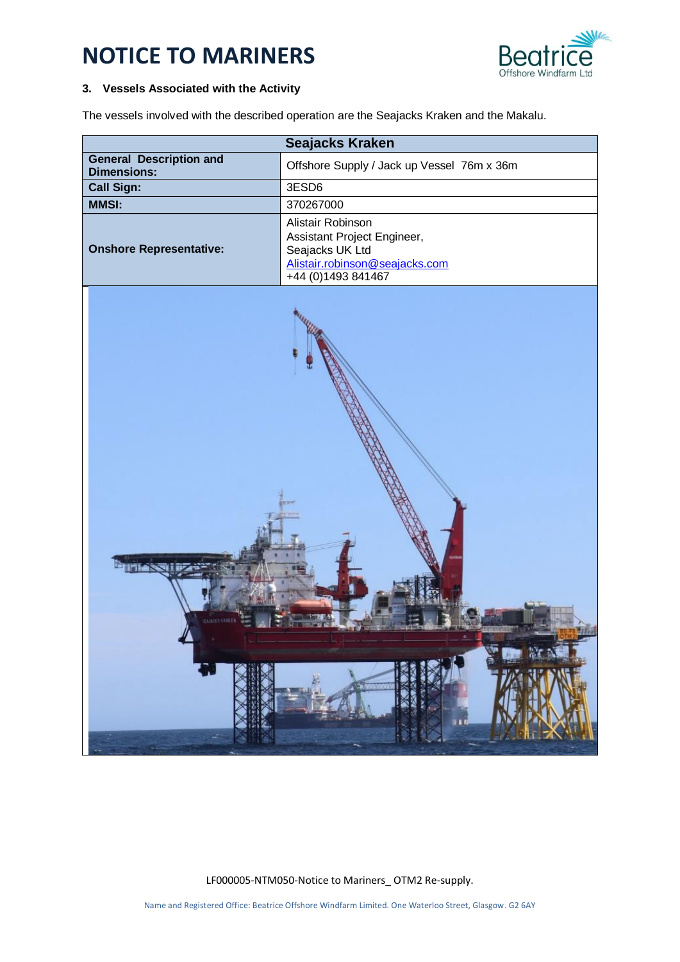# **NOTICE TO MARINERS**



## **3. Vessels Associated with the Activity**

The vessels involved with the described operation are the Seajacks Kraken and the Makalu.

|                                                      | <b>Seajacks Kraken</b>                                                                                                      |
|------------------------------------------------------|-----------------------------------------------------------------------------------------------------------------------------|
| <b>General Description and</b><br><b>Dimensions:</b> | Offshore Supply / Jack up Vessel 76m x 36m                                                                                  |
| <b>Call Sign:</b>                                    | 3ESD6                                                                                                                       |
| <b>MMSI:</b>                                         | 370267000                                                                                                                   |
| <b>Onshore Representative:</b>                       | Alistair Robinson<br>Assistant Project Engineer,<br>Seajacks UK Ltd<br>Alistair.robinson@seajacks.com<br>+44 (0)1493 841467 |
|                                                      |                                                                                                                             |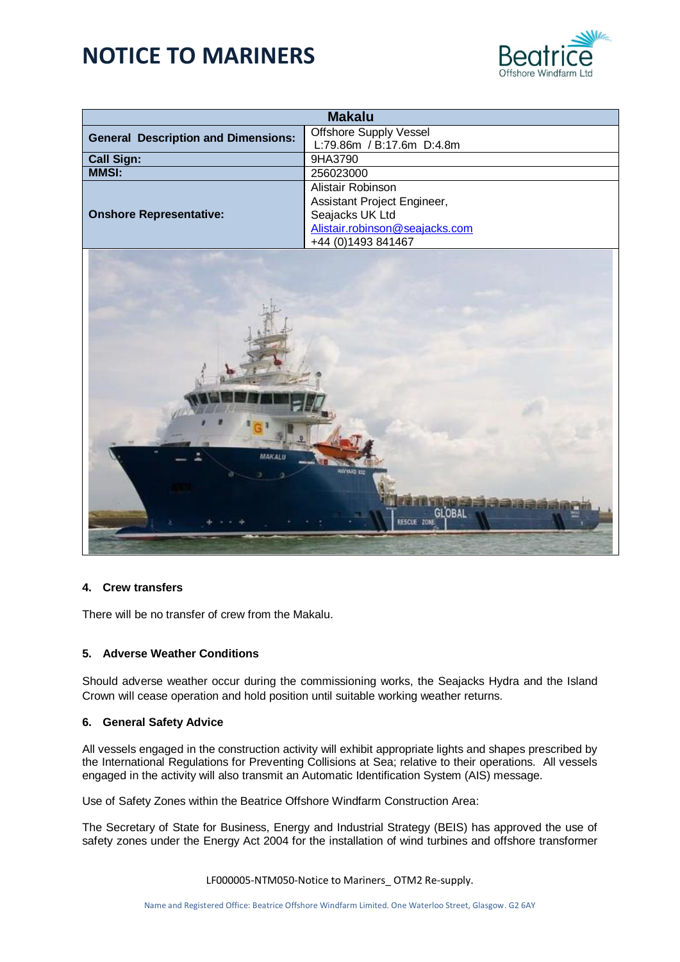# **NOTICE TO MARINERS**



|                                               | <b>Makalu</b>                  |  |
|-----------------------------------------------|--------------------------------|--|
| <b>General Description and Dimensions:</b>    | Offshore Supply Vessel         |  |
|                                               | L:79.86m / B:17.6m D:4.8m      |  |
| <b>Call Sign:</b>                             | 9HA3790                        |  |
| <b>MMSI:</b>                                  | 256023000                      |  |
|                                               | Alistair Robinson              |  |
|                                               | Assistant Project Engineer,    |  |
| <b>Onshore Representative:</b>                | Seajacks UK Ltd                |  |
|                                               | Alistair.robinson@seajacks.com |  |
|                                               | +44 (0)1493 841467             |  |
| <b>MAKALU</b><br><b>GLOBAL</b><br>RESCUE ZONE |                                |  |

#### **4. Crew transfers**

There will be no transfer of crew from the Makalu.

#### **5. Adverse Weather Conditions**

Should adverse weather occur during the commissioning works, the Seajacks Hydra and the Island Crown will cease operation and hold position until suitable working weather returns.

#### **6. General Safety Advice**

All vessels engaged in the construction activity will exhibit appropriate lights and shapes prescribed by the International Regulations for Preventing Collisions at Sea; relative to their operations. All vessels engaged in the activity will also transmit an Automatic Identification System (AIS) message.

Use of Safety Zones within the Beatrice Offshore Windfarm Construction Area:

The Secretary of State for Business, Energy and Industrial Strategy (BEIS) has approved the use of safety zones under the Energy Act 2004 for the installation of wind turbines and offshore transformer